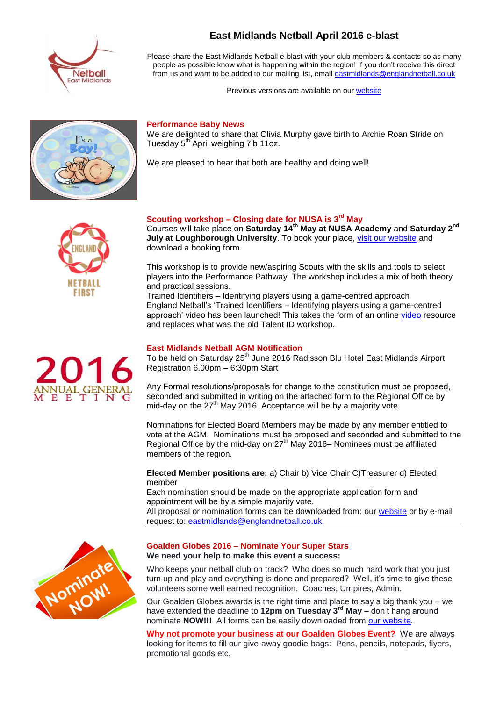

**East Midlands Netball April 2016 e-blast**

Please share the East Midlands Netball e-blast with your club members & contacts so as many people as possible know what is happening within the region! If you don't receive this direct from us and want to be added to our mailing list, email [eastmidlands@englandnetball.co.uk](mailto:eastmidlands@englandnetball.co.uk)

Previous versions are available on our [website](http://www.eastmidlandsnetball.co.uk/e-blast.html)

# $r_{\rm d}$ .

### **Performance Baby News**

We are delighted to share that Olivia Murphy gave birth to Archie Roan Stride on Tuesday 5<sup>th</sup> April weighing 7lb 11oz.

We are pleased to hear that both are healthy and doing well!



# **Scouting workshop – Closing date for NUSA is 3rd May**

Courses will take place on **Saturday 14th May at NUSA Academy** and **Saturday 2nd July at Loughborough University.** To book your place, [visit our website](http://www.eastmidlandsnetball.co.uk/performance-workshops.html) and download a booking form.

This workshop is to provide new/aspiring Scouts with the skills and tools to select players into the Performance Pathway. The workshop includes a mix of both theory and practical sessions.

Trained Identifiers – Identifying players using a game-centred approach England Netball's 'Trained Identifiers – Identifying players using a game-centred approach' [video](http://www.eastmidlandsnetball.co.uk/performance-workshops.html) has been launched! This takes the form of an online video resource and replaces what was the old Talent ID workshop.

# **East Midlands Netball AGM Notification**

To be held on Saturday 25<sup>th</sup> June 2016 Radisson Blu Hotel East Midlands Airport Registration 6.00pm – 6:30pm Start

Any Formal resolutions/proposals for change to the constitution must be proposed, seconded and submitted in writing on the attached form to the Regional Office by mid-day on the  $27<sup>th</sup>$  May 2016. Acceptance will be by a majority vote.

Nominations for Elected Board Members may be made by any member entitled to vote at the AGM. Nominations must be proposed and seconded and submitted to the Regional Office by the mid-day on  $27<sup>th</sup>$  May 2016– Nominees must be affiliated members of the region.

**Elected Member positions are:** a) Chair b) Vice Chair C)Treasurer d) Elected member

Each nomination should be made on the appropriate application form and appointment will be by a simple majority vote.

All proposal or nomination forms can be downloaded from: our [website](http://www.eastmidlandsnetball.co.uk/rmb-documentation.html) or by e-mail request to: [eastmidlands@englandnetball.co.uk](mailto:eastmidlands@englandnetball.co.uk)



# **Goalden Globes 2016 – Nominate Your Super Stars We need your help to make this event a success:**

Who keeps your netball club on track? Who does so much hard work that you just turn up and play and everything is done and prepared? Well, it's time to give these volunteers some well earned recognition. Coaches, Umpires, Admin.

Our Goalden Globes awards is the right time and place to say a big thank you – we have extended the deadline to **12pm on Tuesday 3rd May** – don't hang around nominate **NOW!!!** All forms can be easily downloaded from [our website.](http://www.eastmidlandsnetball.co.uk/goalden-globes.html)

**Why not promote your business at our Goalden Globes Event?** We are always looking for items to fill our give-away goodie-bags: Pens, pencils, notepads, flyers, promotional goods etc.

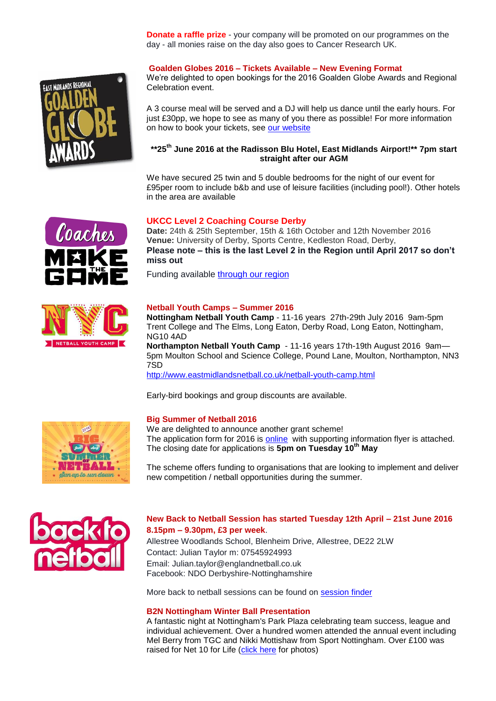**Donate a raffle prize** - your company will be promoted on our programmes on the day - all monies raise on the day also goes to Cancer Research UK.



**Goalden Globes 2016 – Tickets Available – New Evening Format**

We're delighted to open bookings for the 2016 Goalden Globe Awards and Regional Celebration event.

A 3 course meal will be served and a DJ will help us dance until the early hours. For just £30pp, we hope to see as many of you there as possible! For more information on how to book your tickets, see [our website](http://www.eastmidlandsnetball.co.uk/goalden-globes.html)

# **\*\*25th June 2016 at the Radisson Blu Hotel, East Midlands Airport!\*\* 7pm start straight after our AGM**

We have secured 25 twin and 5 double bedrooms for the night of our event for £95per room to include b&b and use of leisure facilities (including pool!). Other hotels in the area are available

# **UKCC Level 2 Coaching Course Derby**

**Date:** 24th & 25th September, 15th & 16th October and 12th November 2016 **Venue:** University of Derby, Sports Centre, Kedleston Road, Derby, **Please note – this is the last Level 2 in the Region until April 2017 so don't miss out**

Funding available [through our region](http://www.eastmidlandsnetball.co.uk/regional-funding.html)



Coaches

### **Netball Youth Camps – Summer 2016**

**Nottingham Netball Youth Camp** - 11-16 years 27th-29th July 2016 9am-5pm Trent College and The Elms, Long Eaton, Derby Road, Long Eaton, Nottingham, NG10 4AD

**Northampton Netball Youth Camp** - 11-16 years 17th-19th August 2016 9am-5pm Moulton School and Science College, Pound Lane, Moulton, Northampton, NN3 7SD

<http://www.eastmidlandsnetball.co.uk/netball-youth-camp.html>

Early-bird bookings and group discounts are available.



### **Big Summer of Netball 2016**

We are delighted to announce another grant scheme! The application form for 2016 is [online](http://www.eastmidlandsnetball.co.uk/big-summer-of-netball.html) with supporting information flyer is attached. The closing date for applications is **5pm on Tuesday 10th May**

The scheme offers funding to organisations that are looking to implement and deliver new competition / netball opportunities during the summer.



# **New Back to Netball Session has started Tuesday 12th April – 21st June 2016 8.15pm – 9.30pm, £3 per week**.

Allestree Woodlands School, Blenheim Drive, Allestree, DE22 2LW Contact: Julian Taylor m: 07545924993 Email: Julian.taylor@englandnetball.co.uk Facebook: NDO Derbyshire-Nottinghamshire

More back to netball sessions can be found on [session finder](http://www.eastmidlandsnetball.co.uk/back-to-netball.html)

### **B2N Nottingham Winter Ball Presentation**

A fantastic night at Nottingham's Park Plaza celebrating team success, league and individual achievement. Over a hundred women attended the annual event including Mel Berry from TGC and Nikki Mottishaw from Sport Nottingham. Over £100 was raised for Net 10 for Life [\(click here](http://www.eastmidlandsnetball.co.uk/net-10-for-life.html) for photos)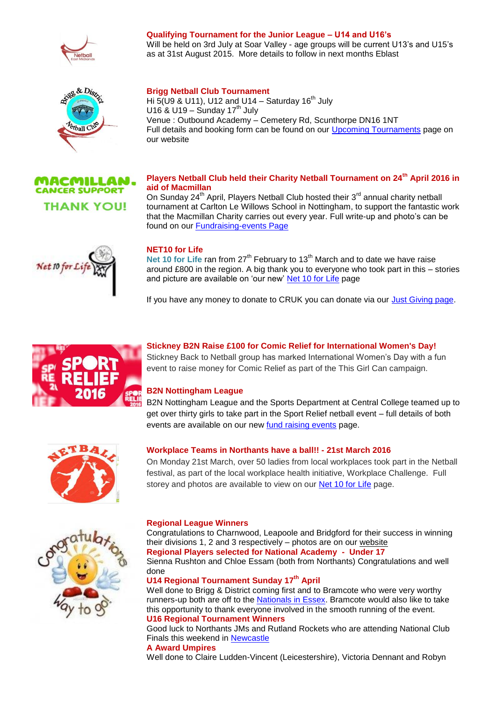





# **Qualifying Tournament for the Junior League – U14 and U16's**

Will be held on 3rd July at Soar Valley - age groups will be current U13's and U15's as at 31st August 2015. More details to follow in next months Eblast

# **Brigg Netball Club Tournament**

Hi  $5($ U9 & U11), U12 and U14 – Saturday 16<sup>th</sup> July U16 & U19 – Sunday 17<sup>th</sup> July Venue : Outbound Academy – Cemetery Rd, Scunthorpe DN16 1NT Full details and booking form can be found on our [Upcoming Tournaments](http://www.eastmidlandsnetball.co.uk/upcoming-tournaments.html) page on our website

# **Players Netball Club held their Charity Netball Tournament on 24th April 2016 in aid of Macmillan**

On Sunday 24<sup>th</sup> April, Players Netball Club hosted their 3<sup>rd</sup> annual charity netball tournament at Carlton Le Willows School in Nottingham, to support the fantastic work that the Macmillan Charity carries out every year. Full write-up and photo's can be found on our [Fundraising-events Page](http://www.eastmidlandsnetball.co.uk/fundraising-events.html)



# **NET10 for Life**

Net 10 for Life ran from 27<sup>th</sup> February to 13<sup>th</sup> March and to date we have raise around £800 in the region. A big thank you to everyone who took part in this – stories and picture are available on 'our new' [Net 10 for Life](http://www.eastmidlandsnetball.co.uk/net-10-for-life.html) page

If you have any money to donate to CRUK you can donate via our [Just Giving page.](https://www.justgiving.com/east-midlands-netball/)



# **Stickney B2N Raise £100 for Comic Relief for International Women's Day!**

Stickney Back to Netball group has marked International Women's Day with a fun event to raise money for Comic Relief as part of the This Girl Can campaign.

# **B2N Nottingham League**

B2N Nottingham League and the Sports Department at Central College teamed up to get over thirty girls to take part in the Sport Relief netball event – full details of both events are available on our new [fund raising events](http://www.eastmidlandsnetball.co.uk/fundraising-events.html) page.



# **Workplace Teams in Northants have a ball!! - 21st March 2016**

On Monday 21st March, over 50 ladies from local workplaces took part in the Netball festival, as part of the local workplace health initiative, Workplace Challenge. Full storey and photos are available to view on our [Net 10 for Life](http://www.eastmidlandsnetball.co.uk/net-10-for-life.html) page.



### **Regional League Winners**

Congratulations to Charnwood, Leapoole and Bridgford for their success in winning their divisions 1, 2 and 3 respectively – photos are on our [website](http://www.eastmidlandsnetball.co.uk/regional-league.html) **Regional Players selected for National Academy - Under 17** Sienna Rushton and Chloe Essam (both from Northants) Congratulations and well done

# **U14 Regional Tournament Sunday 17th April**

Well done to Brigg & District coming first and to Bramcote who were very worthy runners-up both are off to the [Nationals in Essex.](http://www.eastmidlandsnetball.co.uk/regional-u14-tournament.html) Bramcote would also like to take this opportunity to thank everyone involved in the smooth running of the event. **U16 Regional Tournament Winners**

Good luck to Northants JMs and Rutland Rockets who are attending National Club Finals this weekend in [Newcastle](http://www.eastmidlandsnetball.co.uk/regional-u16-tournament.html)

### **A Award Umpires**

Well done to Claire Ludden-Vincent (Leicestershire), Victoria Dennant and Robyn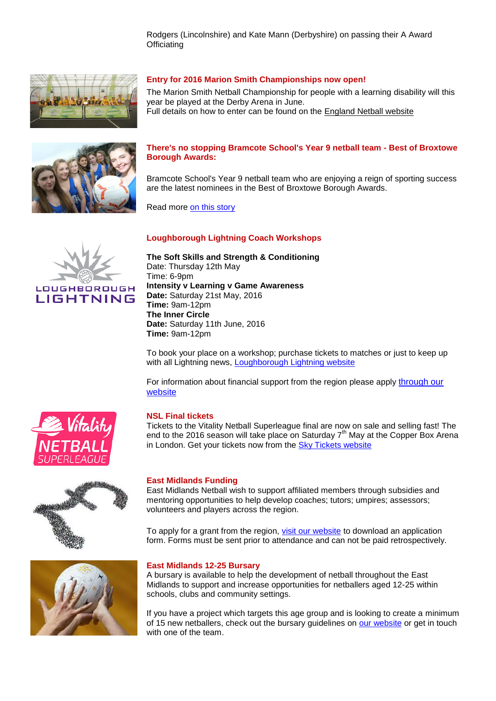Rodgers (Lincolnshire) and Kate Mann (Derbyshire) on passing their A Award **Officiating** 



## **Entry for 2016 Marion Smith Championships now open!**

The Marion Smith Netball Championship for people with a learning disability will this year be played at the Derby Arena in June.

Full details on how to enter can be found on the [England Netball website](http://www.englandnetball.co.uk/news-and-media/latest-news/entry-for-2016-marion-smith-championships-now-open-_id21271153-f867-4afb-b7dd-b1159b5f8bd7)



# **There's no stopping Bramcote School's Year 9 netball team - Best of Broxtowe Borough Awards:**

Bramcote School's Year 9 netball team who are enjoying a reign of sporting success are the latest nominees in the Best of Broxtowe Borough Awards.

Read more [on this story](http://www.nottinghampost.com/Best-Broxtowe-Borough-Awards-s-stopping-Bramcote/story-29033995-detail/story.html#ixzz46AP7IVIl)

# **Loughborough Lightning Coach Workshops**



**The Soft Skills and Strength & Conditioning** Date: Thursday 12th May Time: 6-9pm **Intensity v Learning v Game Awareness Date:** Saturday 21st May, 2016 **Time:** 9am-12pm **The Inner Circle Date:** Saturday 11th June, 2016 **Time:** 9am-12pm

To book your place on a workshop; purchase tickets to matches or just to keep up with all Lightning news, [Loughborough Lightning website](http://loughboroughsport.com/loughborough-lightning/)

For information about financial support from the region please apply through our [website](http://www.eastmidlandsnetball.co.uk/regional-funding.html)



### **NSL Final tickets**

Tickets to the Vitality Netball Superleague final are now on sale and selling fast! The end to the 2016 season will take place on Saturday  $7<sup>th</sup>$  May at the Copper Box Arena in London. Get your tickets now from the [Sky Tickets website](http://tickets.sky.com/Netball/Vitality-Netball-Superleague-Grand-Final)



## **East Midlands Funding**

East Midlands Netball wish to support affiliated members through subsidies and mentoring opportunities to help develop coaches; tutors; umpires; assessors; volunteers and players across the region.

To apply for a grant from the region, [visit our website](http://www.eastmidlandsnetball.co.uk/regional-funding.html) to download an application form. Forms must be sent prior to attendance and can not be paid retrospectively.



### **East Midlands 12-25 Bursary**

A bursary is available to help the development of netball throughout the East Midlands to support and increase opportunities for netballers aged 12-25 within schools, clubs and community settings.

If you have a project which targets this age group and is looking to create a minimum of 15 new netballers, check out the bursary guidelines on [our website](http://www.eastmidlandsnetball.co.uk/funding.html) or get in touch with one of the team.